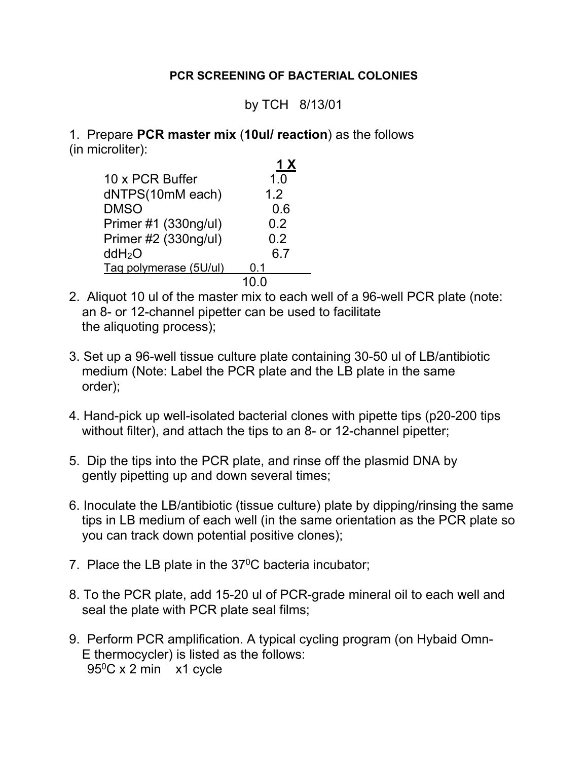## **PCR SCREENING OF BACTERIAL COLONIES**

## by TCH 8/13/01

1. Prepare **PCR master mix** (**10ul/ reaction**) as the follows (in microliter):

|                        | 1 X |
|------------------------|-----|
| 10 x PCR Buffer        | 1.0 |
| dNTPS(10mM each)       | 1.2 |
| <b>DMSO</b>            | 0.6 |
| Primer #1 (330ng/ul)   | 0.2 |
| Primer #2 (330ng/ul)   | 0.2 |
| ddH <sub>2</sub> O     | 6.7 |
| Taq polymerase (5U/ul) | 0.1 |
|                        |     |

- 2. Aliquot 10 ul of the master mix to each well of a 96-well PCR plate (note: an 8- or 12-channel pipetter can be used to facilitate the aliquoting process);
- 3. Set up a 96-well tissue culture plate containing 30-50 ul of LB/antibiotic medium (Note: Label the PCR plate and the LB plate in the same order);
- 4. Hand-pick up well-isolated bacterial clones with pipette tips (p20-200 tips without filter), and attach the tips to an 8- or 12-channel pipetter;
- 5. Dip the tips into the PCR plate, and rinse off the plasmid DNA by gently pipetting up and down several times;
- 6. Inoculate the LB/antibiotic (tissue culture) plate by dipping/rinsing the same tips in LB medium of each well (in the same orientation as the PCR plate so you can track down potential positive clones);
- 7. Place the LB plate in the  $37^{\circ}$ C bacteria incubator;
- 8. To the PCR plate, add 15-20 ul of PCR-grade mineral oil to each well and seal the plate with PCR plate seal films;
- 9. Perform PCR amplification. A typical cycling program (on Hybaid Omn-E thermocycler) is listed as the follows: 950C x 2 min x1 cycle